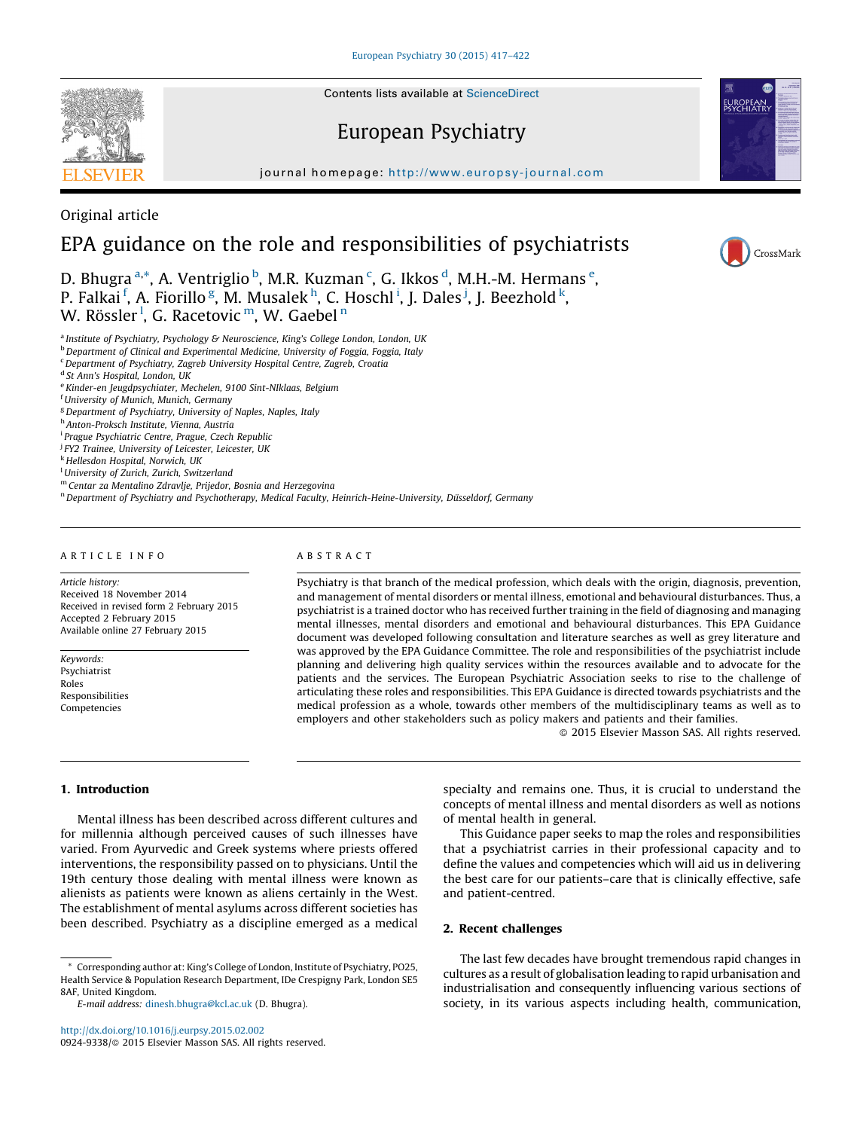Contents lists available at [ScienceDirect](http://www.sciencedirect.com/science/journal/09249338)

# European Psychiatry

journal homepage: http://www.europsy-journal.com





CrossMark

# Original article

# EPA guidance on the role and responsibilities of psychiatrists

D. Bhugra <sup>a,</sup>\*, A. Ventriglio <sup>b</sup>, M.R. Kuzman <sup>c</sup>, G. Ikkos <sup>d</sup>, M.H.-M. Hermans <sup>e</sup>, P. Falkai <sup>f</sup>, A. Fiorillo <sup>g</sup>, M. Musalek <sup>h</sup>, C. Hoschl <sup>i</sup>, J. Dales <sup>j</sup>, J. Beezhold <sup>k</sup>, W. Rössler <sup>l</sup>, G. Racetovic  $^{\rm m}$ , W. Gaebel  $^{\rm n}$ 

<sup>a</sup> Institute of Psychiatry, Psychology & Neuroscience, King's College London, London, UK

**b** Department of Clinical and Experimental Medicine, University of Foggia, Foggia, Italy

<sup>c</sup> Department of Psychiatry, Zagreb University Hospital Centre, Zagreb, Croatia

- <sup>d</sup> St Ann's Hospital, London, UK
- <sup>e</sup> Kinder-en Jeugdpsychiater, Mechelen, 9100 Sint-NIklaas, Belgium

f University of Munich, Munich, Germany

<sup>g</sup> Department of Psychiatry, University of Naples, Naples, Italy

<sup>h</sup> Anton-Proksch Institute, Vienna, Austria

<sup>i</sup> Prague Psychiatric Centre, Prague, Czech Republic

<sup>j</sup> FY2 Trainee, University of Leicester, Leicester, UK

<sup>k</sup> Hellesdon Hospital, Norwich, UK

<sup>1</sup> University of Zurich, Zurich, Switzerland

<sup>m</sup> Centar za Mentalino Zdravlje, Prijedor, Bosnia and Herzegovina

n Department of Psychiatry and Psychotherapy, Medical Faculty, Heinrich-Heine-University, Düsseldorf, Germany

#### A R T I C L E I N F O

Article history: Received 18 November 2014 Received in revised form 2 February 2015 Accepted 2 February 2015 Available online 27 February 2015

Keywords: Psychiatrist Roles Responsibilities Competencies

#### A B S T R A C T

Psychiatry is that branch of the medical profession, which deals with the origin, diagnosis, prevention, and management of mental disorders or mental illness, emotional and behavioural disturbances. Thus, a psychiatrist is a trained doctor who has received further training in the field of diagnosing and managing mental illnesses, mental disorders and emotional and behavioural disturbances. This EPA Guidance document was developed following consultation and literature searches as well as grey literature and was approved by the EPA Guidance Committee. The role and responsibilities of the psychiatrist include planning and delivering high quality services within the resources available and to advocate for the patients and the services. The European Psychiatric Association seeks to rise to the challenge of articulating these roles and responsibilities. This EPA Guidance is directed towards psychiatrists and the medical profession as a whole, towards other members of the multidisciplinary teams as well as to employers and other stakeholders such as policy makers and patients and their families.

 $\odot$  2015 Elsevier Masson SAS. All rights reserved.

# 1. Introduction

Mental illness has been described across different cultures and for millennia although perceived causes of such illnesses have varied. From Ayurvedic and Greek systems where priests offered interventions, the responsibility passed on to physicians. Until the 19th century those dealing with mental illness were known as alienists as patients were known as aliens certainly in the West. The establishment of mental asylums across different societies has been described. Psychiatry as a discipline emerged as a medical

\* Corresponding author at: King's College of London, Institute of Psychiatry, PO25, Health Service & Population Research Department, IDe Crespigny Park, London SE5 8AF, United Kingdom.

<http://dx.doi.org/10.1016/j.eurpsy.2015.02.002> 0924-9338/© 2015 Elsevier Masson SAS. All rights reserved. specialty and remains one. Thus, it is crucial to understand the concepts of mental illness and mental disorders as well as notions of mental health in general.

This Guidance paper seeks to map the roles and responsibilities that a psychiatrist carries in their professional capacity and to define the values and competencies which will aid us in delivering the best care for our patients–care that is clinically effective, safe and patient-centred.

# 2. Recent challenges

The last few decades have brought tremendous rapid changes in cultures as a result of globalisation leading to rapid urbanisation and industrialisation and consequently influencing various sections of society, in its various aspects including health, communication,

E-mail address: [dinesh.bhugra@kcl.ac.uk](mailto:dinesh.bhugra@kcl.ac.uk) (D. Bhugra).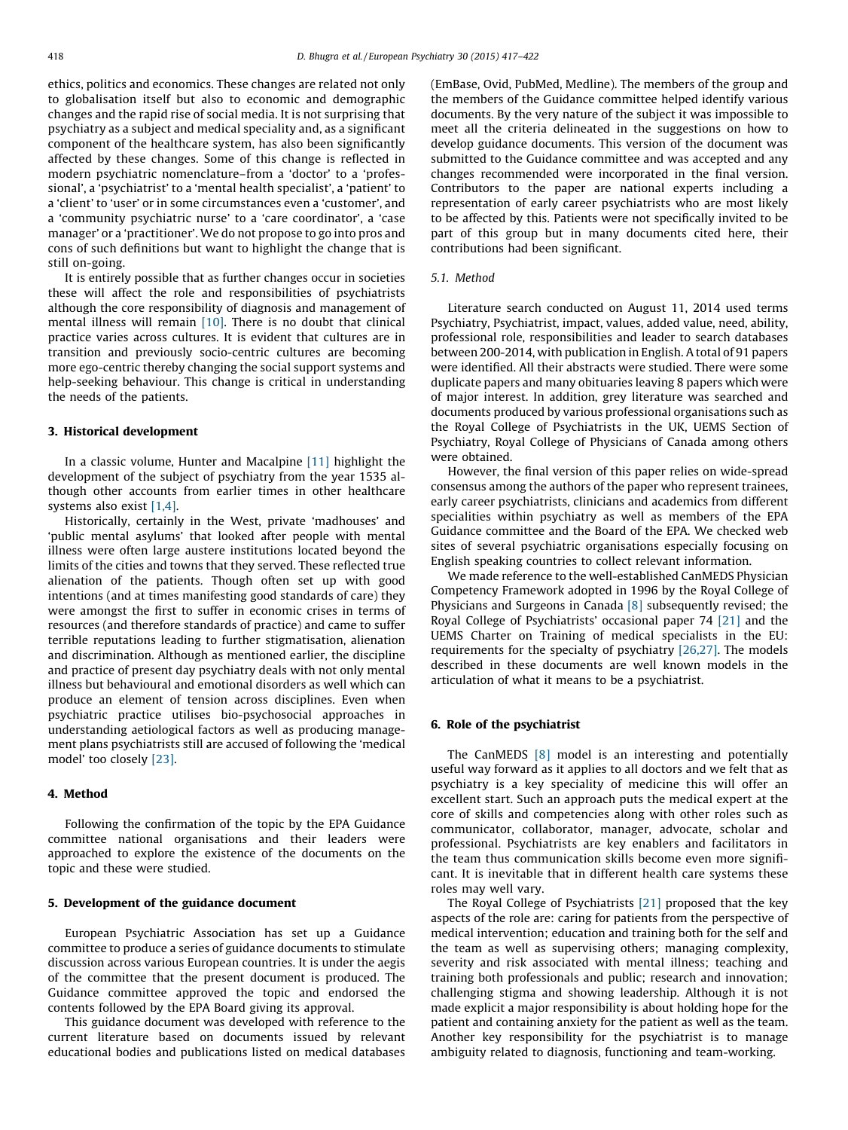ethics, politics and economics. These changes are related not only to globalisation itself but also to economic and demographic changes and the rapid rise of social media. It is not surprising that psychiatry as a subject and medical speciality and, as a significant component of the healthcare system, has also been significantly affected by these changes. Some of this change is reflected in modern psychiatric nomenclature–from a 'doctor' to a 'professional', a 'psychiatrist' to a 'mental health specialist', a 'patient' to a 'client' to 'user' or in some circumstances even a 'customer', and a 'community psychiatric nurse' to a 'care coordinator', a 'case manager' or a 'practitioner'. We do not propose to go into pros and cons of such definitions but want to highlight the change that is still on-going.

It is entirely possible that as further changes occur in societies these will affect the role and responsibilities of psychiatrists although the core responsibility of diagnosis and management of mental illness will remain [\[10\]](#page-5-0). There is no doubt that clinical practice varies across cultures. It is evident that cultures are in transition and previously socio-centric cultures are becoming more ego-centric thereby changing the social support systems and help-seeking behaviour. This change is critical in understanding the needs of the patients.

#### 3. Historical development

In a classic volume, Hunter and Macalpine [\[11\]](#page-5-0) highlight the development of the subject of psychiatry from the year 1535 although other accounts from earlier times in other healthcare systems also exist [\[1,4\].](#page-5-0)

Historically, certainly in the West, private 'madhouses' and 'public mental asylums' that looked after people with mental illness were often large austere institutions located beyond the limits of the cities and towns that they served. These reflected true alienation of the patients. Though often set up with good intentions (and at times manifesting good standards of care) they were amongst the first to suffer in economic crises in terms of resources (and therefore standards of practice) and came to suffer terrible reputations leading to further stigmatisation, alienation and discrimination. Although as mentioned earlier, the discipline and practice of present day psychiatry deals with not only mental illness but behavioural and emotional disorders as well which can produce an element of tension across disciplines. Even when psychiatric practice utilises bio-psychosocial approaches in understanding aetiological factors as well as producing management plans psychiatrists still are accused of following the 'medical model' too closely [\[23\]](#page-5-0).

#### 4. Method

Following the confirmation of the topic by the EPA Guidance committee national organisations and their leaders were approached to explore the existence of the documents on the topic and these were studied.

# 5. Development of the guidance document

European Psychiatric Association has set up a Guidance committee to produce a series of guidance documents to stimulate discussion across various European countries. It is under the aegis of the committee that the present document is produced. The Guidance committee approved the topic and endorsed the contents followed by the EPA Board giving its approval.

This guidance document was developed with reference to the current literature based on documents issued by relevant educational bodies and publications listed on medical databases (EmBase, Ovid, PubMed, Medline). The members of the group and the members of the Guidance committee helped identify various documents. By the very nature of the subject it was impossible to meet all the criteria delineated in the suggestions on how to develop guidance documents. This version of the document was submitted to the Guidance committee and was accepted and any changes recommended were incorporated in the final version. Contributors to the paper are national experts including a representation of early career psychiatrists who are most likely to be affected by this. Patients were not specifically invited to be part of this group but in many documents cited here, their contributions had been significant.

#### 5.1. Method

Literature search conducted on August 11, 2014 used terms Psychiatry, Psychiatrist, impact, values, added value, need, ability, professional role, responsibilities and leader to search databases between 200-2014, with publication in English. A total of 91 papers were identified. All their abstracts were studied. There were some duplicate papers and many obituaries leaving 8 papers which were of major interest. In addition, grey literature was searched and documents produced by various professional organisations such as the Royal College of Psychiatrists in the UK, UEMS Section of Psychiatry, Royal College of Physicians of Canada among others were obtained.

However, the final version of this paper relies on wide-spread consensus among the authors of the paper who represent trainees, early career psychiatrists, clinicians and academics from different specialities within psychiatry as well as members of the EPA Guidance committee and the Board of the EPA. We checked web sites of several psychiatric organisations especially focusing on English speaking countries to collect relevant information.

We made reference to the well-established CanMEDS Physician Competency Framework adopted in 1996 by the Royal College of Physicians and Surgeons in Canada [\[8\]](#page-5-0) subsequently revised; the Royal College of Psychiatrists' occasional paper 74 [\[21\]](#page-5-0) and the UEMS Charter on Training of medical specialists in the EU: requirements for the specialty of psychiatry [\[26,27\]](#page-5-0). The models described in these documents are well known models in the articulation of what it means to be a psychiatrist.

#### 6. Role of the psychiatrist

The CanMEDS [\[8\]](#page-5-0) model is an interesting and potentially useful way forward as it applies to all doctors and we felt that as psychiatry is a key speciality of medicine this will offer an excellent start. Such an approach puts the medical expert at the core of skills and competencies along with other roles such as communicator, collaborator, manager, advocate, scholar and professional. Psychiatrists are key enablers and facilitators in the team thus communication skills become even more significant. It is inevitable that in different health care systems these roles may well vary.

The Royal College of Psychiatrists [\[21\]](#page-5-0) proposed that the key aspects of the role are: caring for patients from the perspective of medical intervention; education and training both for the self and the team as well as supervising others; managing complexity, severity and risk associated with mental illness; teaching and training both professionals and public; research and innovation; challenging stigma and showing leadership. Although it is not made explicit a major responsibility is about holding hope for the patient and containing anxiety for the patient as well as the team. Another key responsibility for the psychiatrist is to manage ambiguity related to diagnosis, functioning and team-working.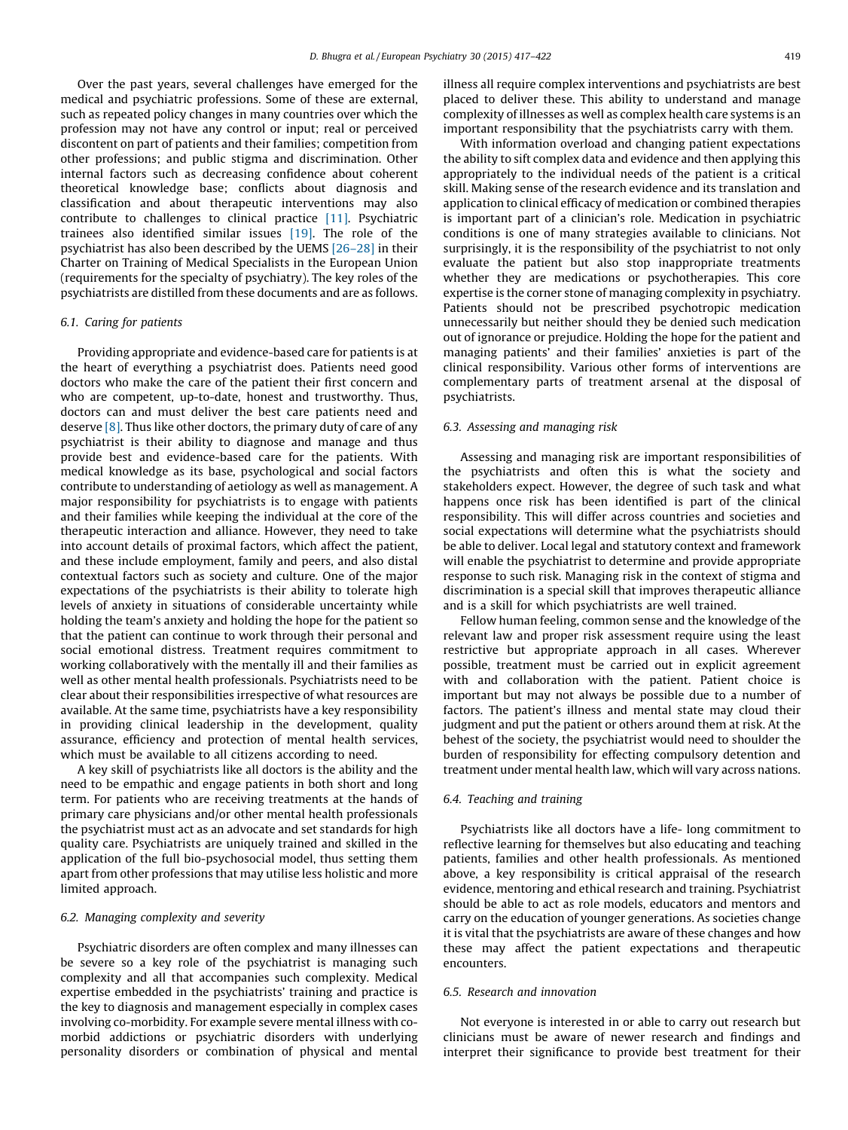Over the past years, several challenges have emerged for the medical and psychiatric professions. Some of these are external, such as repeated policy changes in many countries over which the profession may not have any control or input; real or perceived discontent on part of patients and their families; competition from other professions; and public stigma and discrimination. Other internal factors such as decreasing confidence about coherent theoretical knowledge base; conflicts about diagnosis and classification and about therapeutic interventions may also contribute to challenges to clinical practice [\[11\]](#page-5-0). Psychiatric trainees also identified similar issues [\[19\].](#page-5-0) The role of the psychiatrist has also been described by the UEMS [\[26–28\]](#page-5-0) in their Charter on Training of Medical Specialists in the European Union (requirements for the specialty of psychiatry). The key roles of the psychiatrists are distilled from these documents and are as follows.

#### 6.1. Caring for patients

Providing appropriate and evidence-based care for patients is at the heart of everything a psychiatrist does. Patients need good doctors who make the care of the patient their first concern and who are competent, up-to-date, honest and trustworthy. Thus, doctors can and must deliver the best care patients need and deserve  $[8]$ . Thus like other doctors, the primary duty of care of any psychiatrist is their ability to diagnose and manage and thus provide best and evidence-based care for the patients. With medical knowledge as its base, psychological and social factors contribute to understanding of aetiology as well as management. A major responsibility for psychiatrists is to engage with patients and their families while keeping the individual at the core of the therapeutic interaction and alliance. However, they need to take into account details of proximal factors, which affect the patient, and these include employment, family and peers, and also distal contextual factors such as society and culture. One of the major expectations of the psychiatrists is their ability to tolerate high levels of anxiety in situations of considerable uncertainty while holding the team's anxiety and holding the hope for the patient so that the patient can continue to work through their personal and social emotional distress. Treatment requires commitment to working collaboratively with the mentally ill and their families as well as other mental health professionals. Psychiatrists need to be clear about their responsibilities irrespective of what resources are available. At the same time, psychiatrists have a key responsibility in providing clinical leadership in the development, quality assurance, efficiency and protection of mental health services, which must be available to all citizens according to need.

A key skill of psychiatrists like all doctors is the ability and the need to be empathic and engage patients in both short and long term. For patients who are receiving treatments at the hands of primary care physicians and/or other mental health professionals the psychiatrist must act as an advocate and set standards for high quality care. Psychiatrists are uniquely trained and skilled in the application of the full bio-psychosocial model, thus setting them apart from other professions that may utilise less holistic and more limited approach.

### 6.2. Managing complexity and severity

Psychiatric disorders are often complex and many illnesses can be severe so a key role of the psychiatrist is managing such complexity and all that accompanies such complexity. Medical expertise embedded in the psychiatrists' training and practice is the key to diagnosis and management especially in complex cases involving co-morbidity. For example severe mental illness with comorbid addictions or psychiatric disorders with underlying personality disorders or combination of physical and mental illness all require complex interventions and psychiatrists are best placed to deliver these. This ability to understand and manage complexity of illnesses as well as complex health care systems is an important responsibility that the psychiatrists carry with them.

With information overload and changing patient expectations the ability to sift complex data and evidence and then applying this appropriately to the individual needs of the patient is a critical skill. Making sense of the research evidence and its translation and application to clinical efficacy of medication or combined therapies is important part of a clinician's role. Medication in psychiatric conditions is one of many strategies available to clinicians. Not surprisingly, it is the responsibility of the psychiatrist to not only evaluate the patient but also stop inappropriate treatments whether they are medications or psychotherapies. This core expertise is the corner stone of managing complexity in psychiatry. Patients should not be prescribed psychotropic medication unnecessarily but neither should they be denied such medication out of ignorance or prejudice. Holding the hope for the patient and managing patients' and their families' anxieties is part of the clinical responsibility. Various other forms of interventions are complementary parts of treatment arsenal at the disposal of psychiatrists.

#### 6.3. Assessing and managing risk

Assessing and managing risk are important responsibilities of the psychiatrists and often this is what the society and stakeholders expect. However, the degree of such task and what happens once risk has been identified is part of the clinical responsibility. This will differ across countries and societies and social expectations will determine what the psychiatrists should be able to deliver. Local legal and statutory context and framework will enable the psychiatrist to determine and provide appropriate response to such risk. Managing risk in the context of stigma and discrimination is a special skill that improves therapeutic alliance and is a skill for which psychiatrists are well trained.

Fellow human feeling, common sense and the knowledge of the relevant law and proper risk assessment require using the least restrictive but appropriate approach in all cases. Wherever possible, treatment must be carried out in explicit agreement with and collaboration with the patient. Patient choice is important but may not always be possible due to a number of factors. The patient's illness and mental state may cloud their judgment and put the patient or others around them at risk. At the behest of the society, the psychiatrist would need to shoulder the burden of responsibility for effecting compulsory detention and treatment under mental health law, which will vary across nations.

# 6.4. Teaching and training

Psychiatrists like all doctors have a life- long commitment to reflective learning for themselves but also educating and teaching patients, families and other health professionals. As mentioned above, a key responsibility is critical appraisal of the research evidence, mentoring and ethical research and training. Psychiatrist should be able to act as role models, educators and mentors and carry on the education of younger generations. As societies change it is vital that the psychiatrists are aware of these changes and how these may affect the patient expectations and therapeutic encounters.

#### 6.5. Research and innovation

Not everyone is interested in or able to carry out research but clinicians must be aware of newer research and findings and interpret their significance to provide best treatment for their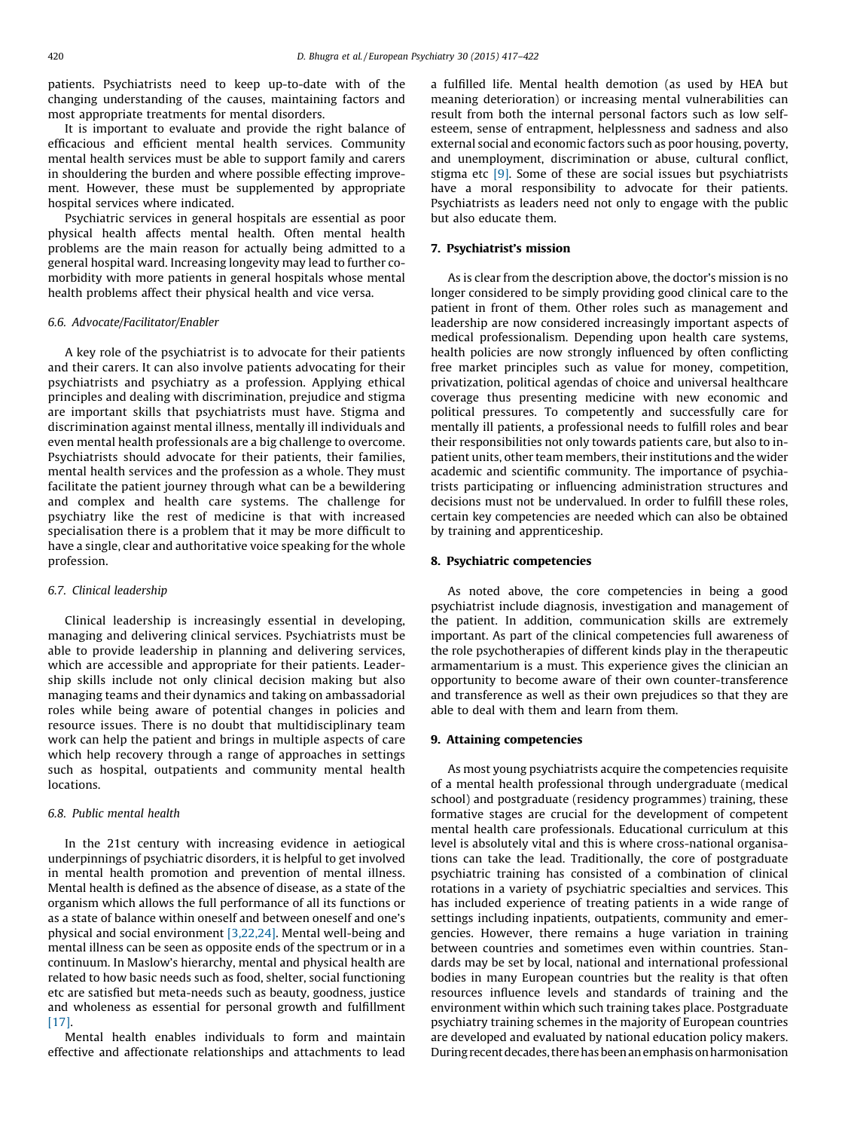patients. Psychiatrists need to keep up-to-date with of the changing understanding of the causes, maintaining factors and most appropriate treatments for mental disorders.

It is important to evaluate and provide the right balance of efficacious and efficient mental health services. Community mental health services must be able to support family and carers in shouldering the burden and where possible effecting improvement. However, these must be supplemented by appropriate hospital services where indicated.

Psychiatric services in general hospitals are essential as poor physical health affects mental health. Often mental health problems are the main reason for actually being admitted to a general hospital ward. Increasing longevity may lead to further comorbidity with more patients in general hospitals whose mental health problems affect their physical health and vice versa.

#### 6.6. Advocate/Facilitator/Enabler

A key role of the psychiatrist is to advocate for their patients and their carers. It can also involve patients advocating for their psychiatrists and psychiatry as a profession. Applying ethical principles and dealing with discrimination, prejudice and stigma are important skills that psychiatrists must have. Stigma and discrimination against mental illness, mentally ill individuals and even mental health professionals are a big challenge to overcome. Psychiatrists should advocate for their patients, their families, mental health services and the profession as a whole. They must facilitate the patient journey through what can be a bewildering and complex and health care systems. The challenge for psychiatry like the rest of medicine is that with increased specialisation there is a problem that it may be more difficult to have a single, clear and authoritative voice speaking for the whole profession.

# 6.7. Clinical leadership

Clinical leadership is increasingly essential in developing, managing and delivering clinical services. Psychiatrists must be able to provide leadership in planning and delivering services, which are accessible and appropriate for their patients. Leadership skills include not only clinical decision making but also managing teams and their dynamics and taking on ambassadorial roles while being aware of potential changes in policies and resource issues. There is no doubt that multidisciplinary team work can help the patient and brings in multiple aspects of care which help recovery through a range of approaches in settings such as hospital, outpatients and community mental health locations.

#### 6.8. Public mental health

In the 21st century with increasing evidence in aetiogical underpinnings of psychiatric disorders, it is helpful to get involved in mental health promotion and prevention of mental illness. Mental health is defined as the absence of disease, as a state of the organism which allows the full performance of all its functions or as a state of balance within oneself and between oneself and one's physical and social environment [\[3,22,24\].](#page-5-0) Mental well-being and mental illness can be seen as opposite ends of the spectrum or in a continuum. In Maslow's hierarchy, mental and physical health are related to how basic needs such as food, shelter, social functioning etc are satisfied but meta-needs such as beauty, goodness, justice and wholeness as essential for personal growth and fulfillment [\[17\]](#page-5-0).

Mental health enables individuals to form and maintain effective and affectionate relationships and attachments to lead a fulfilled life. Mental health demotion (as used by HEA but meaning deterioration) or increasing mental vulnerabilities can result from both the internal personal factors such as low selfesteem, sense of entrapment, helplessness and sadness and also external social and economic factors such as poor housing, poverty, and unemployment, discrimination or abuse, cultural conflict, stigma etc [\[9\].](#page-5-0) Some of these are social issues but psychiatrists have a moral responsibility to advocate for their patients. Psychiatrists as leaders need not only to engage with the public but also educate them.

### 7. Psychiatrist's mission

As is clear from the description above, the doctor's mission is no longer considered to be simply providing good clinical care to the patient in front of them. Other roles such as management and leadership are now considered increasingly important aspects of medical professionalism. Depending upon health care systems, health policies are now strongly influenced by often conflicting free market principles such as value for money, competition, privatization, political agendas of choice and universal healthcare coverage thus presenting medicine with new economic and political pressures. To competently and successfully care for mentally ill patients, a professional needs to fulfill roles and bear their responsibilities not only towards patients care, but also to inpatient units, other team members,their institutions and the wider academic and scientific community. The importance of psychiatrists participating or influencing administration structures and decisions must not be undervalued. In order to fulfill these roles, certain key competencies are needed which can also be obtained by training and apprenticeship.

# 8. Psychiatric competencies

As noted above, the core competencies in being a good psychiatrist include diagnosis, investigation and management of the patient. In addition, communication skills are extremely important. As part of the clinical competencies full awareness of the role psychotherapies of different kinds play in the therapeutic armamentarium is a must. This experience gives the clinician an opportunity to become aware of their own counter-transference and transference as well as their own prejudices so that they are able to deal with them and learn from them.

#### 9. Attaining competencies

As most young psychiatrists acquire the competencies requisite of a mental health professional through undergraduate (medical school) and postgraduate (residency programmes) training, these formative stages are crucial for the development of competent mental health care professionals. Educational curriculum at this level is absolutely vital and this is where cross-national organisations can take the lead. Traditionally, the core of postgraduate psychiatric training has consisted of a combination of clinical rotations in a variety of psychiatric specialties and services. This has included experience of treating patients in a wide range of settings including inpatients, outpatients, community and emergencies. However, there remains a huge variation in training between countries and sometimes even within countries. Standards may be set by local, national and international professional bodies in many European countries but the reality is that often resources influence levels and standards of training and the environment within which such training takes place. Postgraduate psychiatry training schemes in the majority of European countries are developed and evaluated by national education policy makers. During recent decades, there has been an emphasis on harmonisation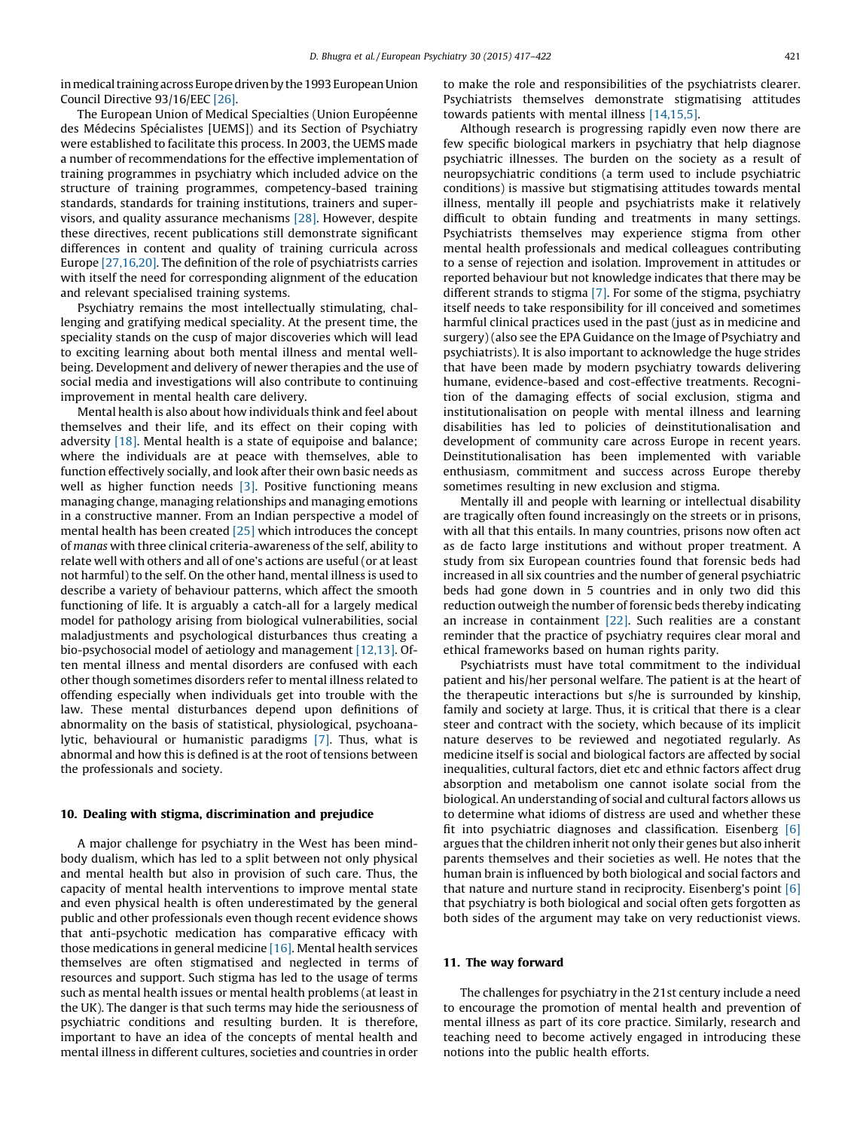in medical training across Europe driven by the 1993 European Union Council Directive 93/16/EEC [\[26\]](#page-5-0).

The European Union of Medical Specialties (Union Européenne des Médecins Spécialistes [UEMS]) and its Section of Psychiatry were established to facilitate this process. In 2003, the UEMS made a number of recommendations for the effective implementation of training programmes in psychiatry which included advice on the structure of training programmes, competency-based training standards, standards for training institutions, trainers and supervisors, and quality assurance mechanisms [\[28\]](#page-5-0). However, despite these directives, recent publications still demonstrate significant differences in content and quality of training curricula across Europe [\[27,16,20\].](#page-5-0) The definition of the role of psychiatrists carries with itself the need for corresponding alignment of the education and relevant specialised training systems.

Psychiatry remains the most intellectually stimulating, challenging and gratifying medical speciality. At the present time, the speciality stands on the cusp of major discoveries which will lead to exciting learning about both mental illness and mental wellbeing. Development and delivery of newer therapies and the use of social media and investigations will also contribute to continuing improvement in mental health care delivery.

Mental health is also about how individuals think and feel about themselves and their life, and its effect on their coping with adversity [\[18\]](#page-5-0). Mental health is a state of equipoise and balance; where the individuals are at peace with themselves, able to function effectively socially, and look after their own basic needs as well as higher function needs [\[3\]](#page-5-0). Positive functioning means managing change, managing relationships and managing emotions in a constructive manner. From an Indian perspective a model of mental health has been created [\[25\]](#page-5-0) which introduces the concept of manas with three clinical criteria-awareness of the self, ability to relate well with others and all of one's actions are useful (or at least not harmful) to the self. On the other hand, mental illness is used to describe a variety of behaviour patterns, which affect the smooth functioning of life. It is arguably a catch-all for a largely medical model for pathology arising from biological vulnerabilities, social maladjustments and psychological disturbances thus creating a bio-psychosocial model of aetiology and management [\[12,13\]](#page-5-0). Often mental illness and mental disorders are confused with each other though sometimes disorders refer to mental illness related to offending especially when individuals get into trouble with the law. These mental disturbances depend upon definitions of abnormality on the basis of statistical, physiological, psychoanalytic, behavioural or humanistic paradigms [\[7\].](#page-5-0) Thus, what is abnormal and how this is defined is at the root of tensions between the professionals and society.

#### 10. Dealing with stigma, discrimination and prejudice

A major challenge for psychiatry in the West has been mindbody dualism, which has led to a split between not only physical and mental health but also in provision of such care. Thus, the capacity of mental health interventions to improve mental state and even physical health is often underestimated by the general public and other professionals even though recent evidence shows that anti-psychotic medication has comparative efficacy with those medications in general medicine  $[16]$ . Mental health services themselves are often stigmatised and neglected in terms of resources and support. Such stigma has led to the usage of terms such as mental health issues or mental health problems (at least in the UK). The danger is that such terms may hide the seriousness of psychiatric conditions and resulting burden. It is therefore, important to have an idea of the concepts of mental health and mental illness in different cultures, societies and countries in order

to make the role and responsibilities of the psychiatrists clearer. Psychiatrists themselves demonstrate stigmatising attitudes towards patients with mental illness [\[14,15,5\]](#page-5-0).

Although research is progressing rapidly even now there are few specific biological markers in psychiatry that help diagnose psychiatric illnesses. The burden on the society as a result of neuropsychiatric conditions (a term used to include psychiatric conditions) is massive but stigmatising attitudes towards mental illness, mentally ill people and psychiatrists make it relatively difficult to obtain funding and treatments in many settings. Psychiatrists themselves may experience stigma from other mental health professionals and medical colleagues contributing to a sense of rejection and isolation. Improvement in attitudes or reported behaviour but not knowledge indicates that there may be different strands to stigma [\[7\]](#page-5-0). For some of the stigma, psychiatry itself needs to take responsibility for ill conceived and sometimes harmful clinical practices used in the past (just as in medicine and surgery) (also see the EPA Guidance on the Image of Psychiatry and psychiatrists). It is also important to acknowledge the huge strides that have been made by modern psychiatry towards delivering humane, evidence-based and cost-effective treatments. Recognition of the damaging effects of social exclusion, stigma and institutionalisation on people with mental illness and learning disabilities has led to policies of deinstitutionalisation and development of community care across Europe in recent years. Deinstitutionalisation has been implemented with variable enthusiasm, commitment and success across Europe thereby sometimes resulting in new exclusion and stigma.

Mentally ill and people with learning or intellectual disability are tragically often found increasingly on the streets or in prisons, with all that this entails. In many countries, prisons now often act as de facto large institutions and without proper treatment. A study from six European countries found that forensic beds had increased in all six countries and the number of general psychiatric beds had gone down in 5 countries and in only two did this reduction outweigh the number of forensic beds thereby indicating an increase in containment [\[22\]](#page-5-0). Such realities are a constant reminder that the practice of psychiatry requires clear moral and ethical frameworks based on human rights parity.

Psychiatrists must have total commitment to the individual patient and his/her personal welfare. The patient is at the heart of the therapeutic interactions but s/he is surrounded by kinship, family and society at large. Thus, it is critical that there is a clear steer and contract with the society, which because of its implicit nature deserves to be reviewed and negotiated regularly. As medicine itself is social and biological factors are affected by social inequalities, cultural factors, diet etc and ethnic factors affect drug absorption and metabolism one cannot isolate social from the biological. An understanding of social and cultural factors allows us to determine what idioms of distress are used and whether these fit into psychiatric diagnoses and classification. Eisenberg [\[6\]](#page-5-0) argues that the children inherit not only their genes but also inherit parents themselves and their societies as well. He notes that the human brain is influenced by both biological and social factors and that nature and nurture stand in reciprocity. Eisenberg's point [\[6\]](#page-5-0) that psychiatry is both biological and social often gets forgotten as both sides of the argument may take on very reductionist views.

#### 11. The way forward

The challenges for psychiatry in the 21st century include a need to encourage the promotion of mental health and prevention of mental illness as part of its core practice. Similarly, research and teaching need to become actively engaged in introducing these notions into the public health efforts.